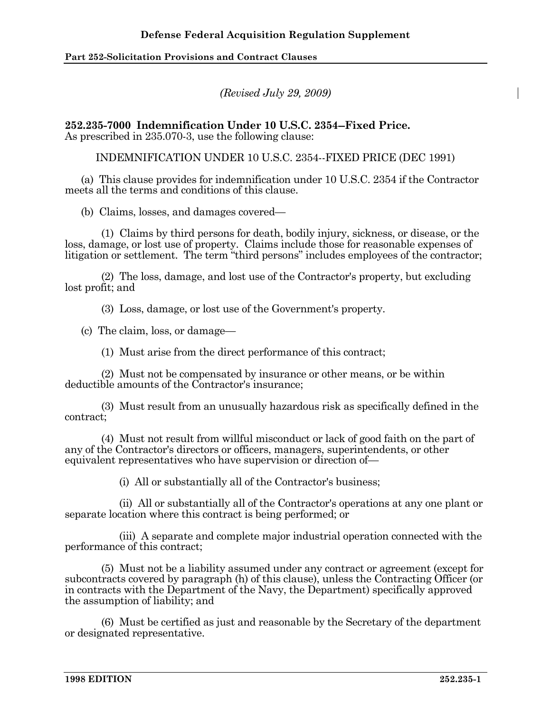*(Revised July 29, 2009)* 

**252.235-7000 Indemnification Under 10 U.S.C. 2354--Fixed Price.** 

As prescribed in 235.070-3, use the following clause:

INDEMNIFICATION UNDER 10 U.S.C. 2354--FIXED PRICE (DEC 1991)

 (a) This clause provides for indemnification under 10 U.S.C. 2354 if the Contractor meets all the terms and conditions of this clause.

(b) Claims, losses, and damages covered—

 (1) Claims by third persons for death, bodily injury, sickness, or disease, or the loss, damage, or lost use of property. Claims include those for reasonable expenses of litigation or settlement. The term "third persons" includes employees of the contractor;

 (2) The loss, damage, and lost use of the Contractor's property, but excluding lost profit; and

(3) Loss, damage, or lost use of the Government's property.

(c) The claim, loss, or damage—

(1) Must arise from the direct performance of this contract;

 (2) Must not be compensated by insurance or other means, or be within deductible amounts of the Contractor's insurance;

 (3) Must result from an unusually hazardous risk as specifically defined in the contract;

 (4) Must not result from willful misconduct or lack of good faith on the part of any of the Contractor's directors or officers, managers, superintendents, or other equivalent representatives who have supervision or direction of—

(i) All or substantially all of the Contractor's business;

 (ii) All or substantially all of the Contractor's operations at any one plant or separate location where this contract is being performed; or

 (iii) A separate and complete major industrial operation connected with the performance of this contract;

 (5) Must not be a liability assumed under any contract or agreement (except for subcontracts covered by paragraph (h) of this clause), unless the Contracting Officer (or in contracts with the Department of the Navy, the Department) specifically approved the assumption of liability; and

 (6) Must be certified as just and reasonable by the Secretary of the department or designated representative.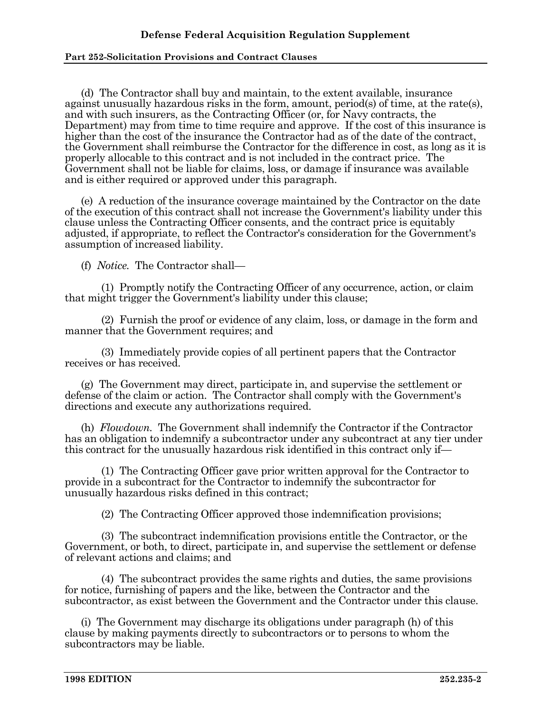## **Defense Federal Acquisition Regulation Supplement**

#### **Part 252-Solicitation Provisions and Contract Clauses**

 (d) The Contractor shall buy and maintain, to the extent available, insurance against unusually hazardous risks in the form, amount, period(s) of time, at the rate(s), and with such insurers, as the Contracting Officer (or, for Navy contracts, the Department) may from time to time require and approve. If the cost of this insurance is higher than the cost of the insurance the Contractor had as of the date of the contract, the Government shall reimburse the Contractor for the difference in cost, as long as it is properly allocable to this contract and is not included in the contract price. The Government shall not be liable for claims, loss, or damage if insurance was available and is either required or approved under this paragraph.

 (e) A reduction of the insurance coverage maintained by the Contractor on the date of the execution of this contract shall not increase the Government's liability under this clause unless the Contracting Officer consents, and the contract price is equitably adjusted, if appropriate, to reflect the Contractor's consideration for the Government's assumption of increased liability.

(f) *Notice.* The Contractor shall—

 (1) Promptly notify the Contracting Officer of any occurrence, action, or claim that might trigger the Government's liability under this clause;

 (2) Furnish the proof or evidence of any claim, loss, or damage in the form and manner that the Government requires; and

 (3) Immediately provide copies of all pertinent papers that the Contractor receives or has received.

 (g) The Government may direct, participate in, and supervise the settlement or defense of the claim or action. The Contractor shall comply with the Government's directions and execute any authorizations required.

 (h) *Flowdown.* The Government shall indemnify the Contractor if the Contractor has an obligation to indemnify a subcontractor under any subcontract at any tier under this contract for the unusually hazardous risk identified in this contract only if—

 (1) The Contracting Officer gave prior written approval for the Contractor to provide in a subcontract for the Contractor to indemnify the subcontractor for unusually hazardous risks defined in this contract;

(2) The Contracting Officer approved those indemnification provisions;

 (3) The subcontract indemnification provisions entitle the Contractor, or the Government, or both, to direct, participate in, and supervise the settlement or defense of relevant actions and claims; and

 (4) The subcontract provides the same rights and duties, the same provisions for notice, furnishing of papers and the like, between the Contractor and the subcontractor, as exist between the Government and the Contractor under this clause.

 (i) The Government may discharge its obligations under paragraph (h) of this clause by making payments directly to subcontractors or to persons to whom the subcontractors may be liable.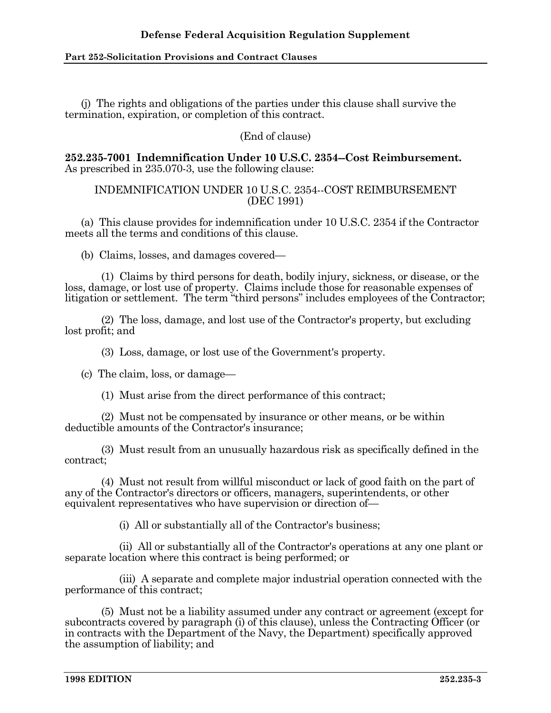(j) The rights and obligations of the parties under this clause shall survive the termination, expiration, or completion of this contract.

(End of clause)

**252.235-7001 Indemnification Under 10 U.S.C. 2354--Cost Reimbursement.**  As prescribed in 235.070-3, use the following clause:

### INDEMNIFICATION UNDER 10 U.S.C. 2354--COST REIMBURSEMENT (DEC 1991)

 (a) This clause provides for indemnification under 10 U.S.C. 2354 if the Contractor meets all the terms and conditions of this clause.

(b) Claims, losses, and damages covered—

 (1) Claims by third persons for death, bodily injury, sickness, or disease, or the loss, damage, or lost use of property. Claims include those for reasonable expenses of litigation or settlement. The term "third persons" includes employees of the Contractor;

 (2) The loss, damage, and lost use of the Contractor's property, but excluding lost profit; and

(3) Loss, damage, or lost use of the Government's property.

(c) The claim, loss, or damage—

(1) Must arise from the direct performance of this contract;

 (2) Must not be compensated by insurance or other means, or be within deductible amounts of the Contractor's insurance;

 (3) Must result from an unusually hazardous risk as specifically defined in the contract;

 (4) Must not result from willful misconduct or lack of good faith on the part of any of the Contractor's directors or officers, managers, superintendents, or other equivalent representatives who have supervision or direction of—

(i) All or substantially all of the Contractor's business;

 (ii) All or substantially all of the Contractor's operations at any one plant or separate location where this contract is being performed; or

 (iii) A separate and complete major industrial operation connected with the performance of this contract;

 (5) Must not be a liability assumed under any contract or agreement (except for subcontracts covered by paragraph (i) of this clause), unless the Contracting Officer (or in contracts with the Department of the Navy, the Department) specifically approved the assumption of liability; and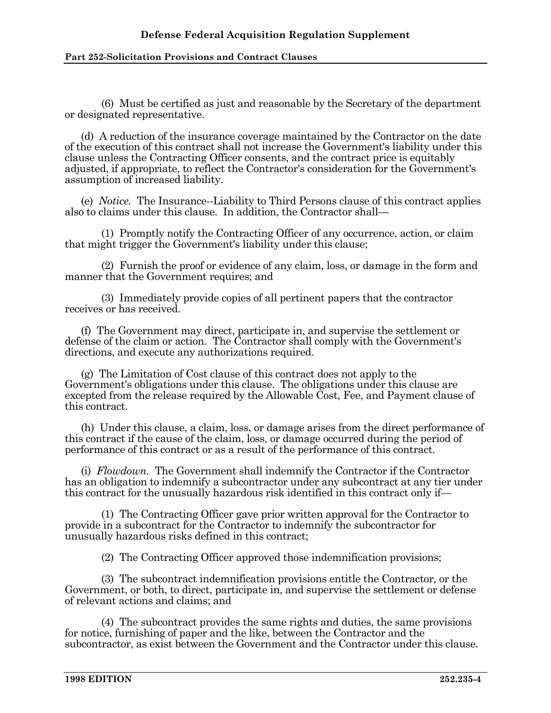## **Defense Federal Acquisition Regulation Supplement**

#### **Part 252-Solicitation Provisions and Contract Clauses**

 (6) Must be certified as just and reasonable by the Secretary of the department or designated representative.

 (d) A reduction of the insurance coverage maintained by the Contractor on the date of the execution of this contract shall not increase the Government's liability under this clause unless the Contracting Officer consents, and the contract price is equitably adjusted, if appropriate, to reflect the Contractor's consideration for the Government's assumption of increased liability.

 (e) *Notice.* The Insurance--Liability to Third Persons clause of this contract applies also to claims under this clause. In addition, the Contractor shall—

 (1) Promptly notify the Contracting Officer of any occurrence, action, or claim that might trigger the Government's liability under this clause;

 (2) Furnish the proof or evidence of any claim, loss, or damage in the form and manner that the Government requires; and

 (3) Immediately provide copies of all pertinent papers that the contractor receives or has received.

 (f) The Government may direct, participate in, and supervise the settlement or defense of the claim or action. The Contractor shall comply with the Government's directions, and execute any authorizations required.

 (g) The Limitation of Cost clause of this contract does not apply to the Government's obligations under this clause. The obligations under this clause are excepted from the release required by the Allowable Cost, Fee, and Payment clause of this contract.

 (h) Under this clause, a claim, loss, or damage arises from the direct performance of this contract if the cause of the claim, loss, or damage occurred during the period of performance of this contract or as a result of the performance of this contract.

 (i) *Flowdown.* The Government shall indemnify the Contractor if the Contractor has an obligation to indemnify a subcontractor under any subcontract at any tier under this contract for the unusually hazardous risk identified in this contract only if—

 (1) The Contracting Officer gave prior written approval for the Contractor to provide in a subcontract for the Contractor to indemnify the subcontractor for unusually hazardous risks defined in this contract;

(2) The Contracting Officer approved those indemnification provisions;

 (3) The subcontract indemnification provisions entitle the Contractor, or the Government, or both, to direct, participate in, and supervise the settlement or defense of relevant actions and claims; and

 (4) The subcontract provides the same rights and duties, the same provisions for notice, furnishing of paper and the like, between the Contractor and the subcontractor, as exist between the Government and the Contractor under this clause.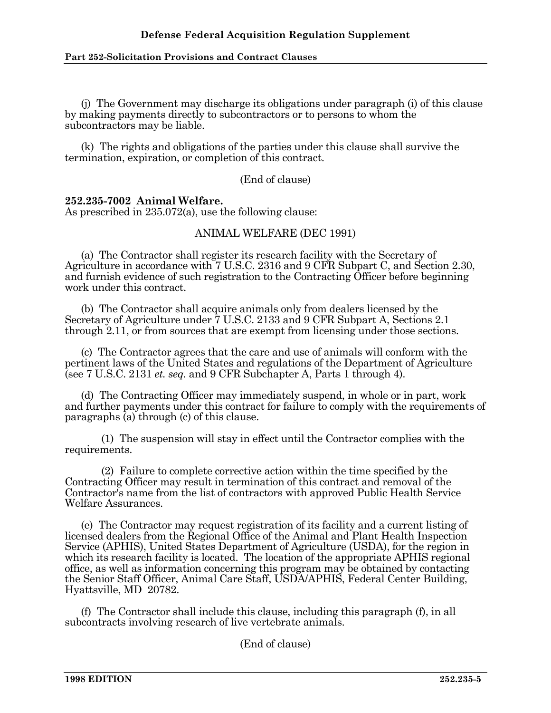(j) The Government may discharge its obligations under paragraph (i) of this clause by making payments directly to subcontractors or to persons to whom the subcontractors may be liable.

 (k) The rights and obligations of the parties under this clause shall survive the termination, expiration, or completion of this contract.

(End of clause)

### **252.235-7002 Animal Welfare.**

As prescribed in 235.072(a), use the following clause:

### ANIMAL WELFARE (DEC 1991)

 (a) The Contractor shall register its research facility with the Secretary of Agriculture in accordance with 7 U.S.C. 2316 and 9 CFR Subpart C, and Section 2.30, and furnish evidence of such registration to the Contracting Officer before beginning work under this contract.

 (b) The Contractor shall acquire animals only from dealers licensed by the Secretary of Agriculture under 7 U.S.C. 2133 and 9 CFR Subpart A, Sections 2.1 through 2.11, or from sources that are exempt from licensing under those sections.

 (c) The Contractor agrees that the care and use of animals will conform with the pertinent laws of the United States and regulations of the Department of Agriculture (see 7 U.S.C. 2131 *et. seq.* and 9 CFR Subchapter A, Parts 1 through 4).

 (d) The Contracting Officer may immediately suspend, in whole or in part, work and further payments under this contract for failure to comply with the requirements of paragraphs (a) through (c) of this clause.

 (1) The suspension will stay in effect until the Contractor complies with the requirements.

 (2) Failure to complete corrective action within the time specified by the Contracting Officer may result in termination of this contract and removal of the Contractor's name from the list of contractors with approved Public Health Service Welfare Assurances.

 (e) The Contractor may request registration of its facility and a current listing of licensed dealers from the Regional Office of the Animal and Plant Health Inspection Service (APHIS), United States Department of Agriculture (USDA), for the region in which its research facility is located. The location of the appropriate APHIS regional office, as well as information concerning this program may be obtained by contacting the Senior Staff Officer, Animal Care Staff, USDA/APHIS, Federal Center Building, Hyattsville, MD 20782.

 (f) The Contractor shall include this clause, including this paragraph (f), in all subcontracts involving research of live vertebrate animals.

(End of clause)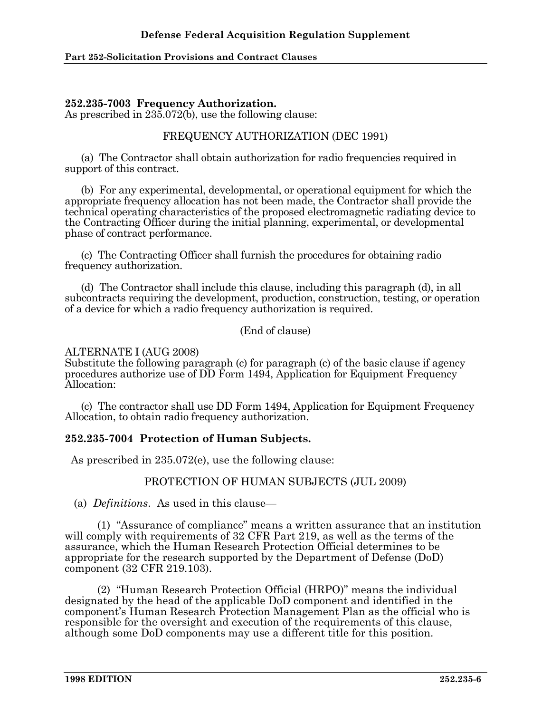# **252.235-7003 Frequency Authorization.**

As prescribed in 235.072(b), use the following clause:

# FREQUENCY AUTHORIZATION (DEC 1991)

 (a) The Contractor shall obtain authorization for radio frequencies required in support of this contract.

 (b) For any experimental, developmental, or operational equipment for which the appropriate frequency allocation has not been made, the Contractor shall provide the technical operating characteristics of the proposed electromagnetic radiating device to the Contracting Officer during the initial planning, experimental, or developmental phase of contract performance.

 (c) The Contracting Officer shall furnish the procedures for obtaining radio frequency authorization.

 (d) The Contractor shall include this clause, including this paragraph (d), in all subcontracts requiring the development, production, construction, testing, or operation of a device for which a radio frequency authorization is required.

(End of clause)

## ALTERNATE I (AUG 2008)

Substitute the following paragraph (c) for paragraph (c) of the basic clause if agency procedures authorize use of DD Form 1494, Application for Equipment Frequency Allocation:

 (c) The contractor shall use DD Form 1494, Application for Equipment Frequency Allocation, to obtain radio frequency authorization.

## **252.235-7004 Protection of Human Subjects.**

As prescribed in 235.072(e), use the following clause:

## PROTECTION OF HUMAN SUBJECTS (JUL 2009)

(a) *Definitions*. As used in this clause—

 (1) "Assurance of compliance" means a written assurance that an institution will comply with requirements of 32 CFR Part 219, as well as the terms of the assurance, which the Human Research Protection Official determines to be appropriate for the research supported by the Department of Defense (DoD) component (32 CFR 219.103).

 (2) "Human Research Protection Official (HRPO)" means the individual designated by the head of the applicable DoD component and identified in the component's Human Research Protection Management Plan as the official who is responsible for the oversight and execution of the requirements of this clause, although some DoD components may use a different title for this position.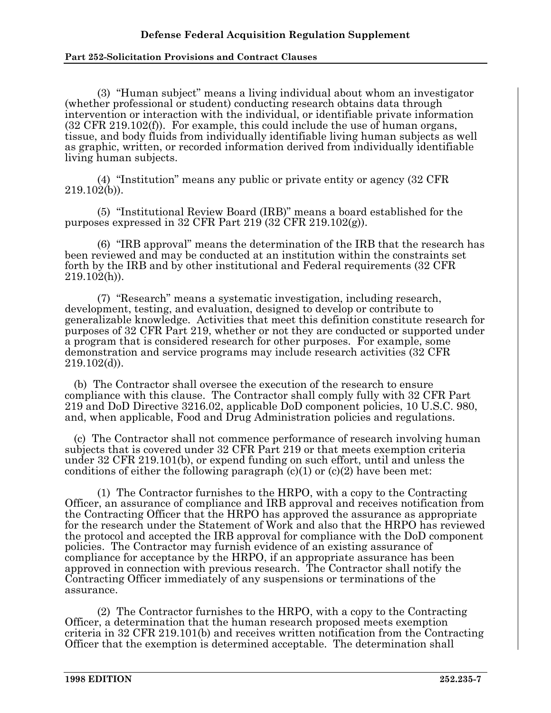## **Defense Federal Acquisition Regulation Supplement**

#### **Part 252-Solicitation Provisions and Contract Clauses**

 (3) "Human subject" means a living individual about whom an investigator (whether professional or student) conducting research obtains data through intervention or interaction with the individual, or identifiable private information (32 CFR 219.102(f)). For example, this could include the use of human organs, tissue, and body fluids from individually identifiable living human subjects as well as graphic, written, or recorded information derived from individually identifiable living human subjects.

 (4) "Institution" means any public or private entity or agency (32 CFR 219.102(b)).

 (5) "Institutional Review Board (IRB)" means a board established for the purposes expressed in 32 CFR Part 219 (32 CFR 219.102(g)).

 (6) "IRB approval" means the determination of the IRB that the research has been reviewed and may be conducted at an institution within the constraints set forth by the IRB and by other institutional and Federal requirements (32 CFR 219.102(h)).

 (7) "Research" means a systematic investigation, including research, development, testing, and evaluation, designed to develop or contribute to generalizable knowledge. Activities that meet this definition constitute research for purposes of 32 CFR Part 219, whether or not they are conducted or supported under a program that is considered research for other purposes. For example, some demonstration and service programs may include research activities (32 CFR 219.102(d)).

 (b) The Contractor shall oversee the execution of the research to ensure compliance with this clause. The Contractor shall comply fully with 32 CFR Part 219 and DoD Directive 3216.02, applicable DoD component policies, 10 U.S.C. 980, and, when applicable, Food and Drug Administration policies and regulations.

 (c) The Contractor shall not commence performance of research involving human subjects that is covered under 32 CFR Part 219 or that meets exemption criteria under 32 CFR 219.101(b), or expend funding on such effort, until and unless the conditions of either the following paragraph  $(c)(1)$  or  $(c)(2)$  have been met:

 (1) The Contractor furnishes to the HRPO, with a copy to the Contracting Officer, an assurance of compliance and IRB approval and receives notification from the Contracting Officer that the HRPO has approved the assurance as appropriate for the research under the Statement of Work and also that the HRPO has reviewed the protocol and accepted the IRB approval for compliance with the DoD component policies. The Contractor may furnish evidence of an existing assurance of compliance for acceptance by the HRPO, if an appropriate assurance has been approved in connection with previous research. The Contractor shall notify the Contracting Officer immediately of any suspensions or terminations of the assurance.

 (2) The Contractor furnishes to the HRPO, with a copy to the Contracting Officer, a determination that the human research proposed meets exemption criteria in 32 CFR 219.101(b) and receives written notification from the Contracting Officer that the exemption is determined acceptable. The determination shall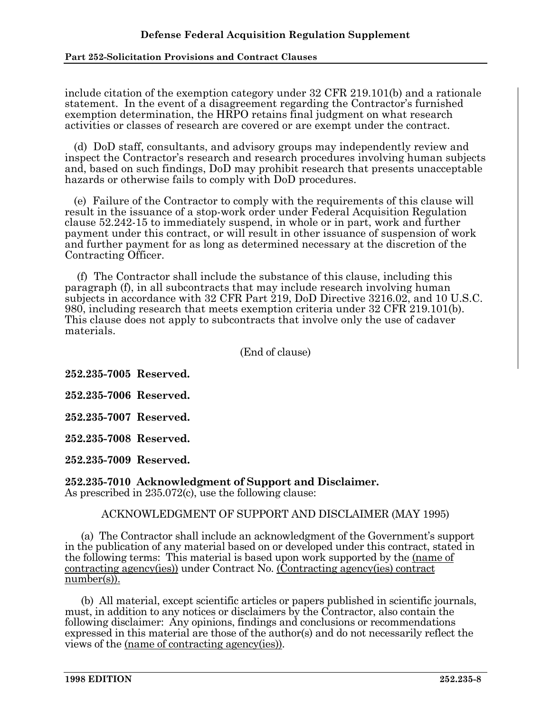include citation of the exemption category under 32 CFR 219.101(b) and a rationale statement. In the event of a disagreement regarding the Contractor's furnished exemption determination, the HRPO retains final judgment on what research activities or classes of research are covered or are exempt under the contract.

 (d) DoD staff, consultants, and advisory groups may independently review and inspect the Contractor's research and research procedures involving human subjects and, based on such findings, DoD may prohibit research that presents unacceptable hazards or otherwise fails to comply with DoD procedures.

 (e) Failure of the Contractor to comply with the requirements of this clause will result in the issuance of a stop-work order under Federal Acquisition Regulation clause 52.242-15 to immediately suspend, in whole or in part, work and further payment under this contract, or will result in other issuance of suspension of work and further payment for as long as determined necessary at the discretion of the Contracting Officer.

 (f) The Contractor shall include the substance of this clause, including this paragraph (f), in all subcontracts that may include research involving human subjects in accordance with 32 CFR Part 219, DoD Directive 3216.02, and 10 U.S.C. 980, including research that meets exemption criteria under 32 CFR 219.101(b). This clause does not apply to subcontracts that involve only the use of cadaver materials.

(End of clause)

**252.235-7005 Reserved.**

**252.235-7006 Reserved.** 

**252.235-7007 Reserved.** 

**252.235-7008 Reserved.** 

**252.235-7009 Reserved.** 

**252.235-7010 Acknowledgment of Support and Disclaimer.**  As prescribed in 235.072(c), use the following clause:

### ACKNOWLEDGMENT OF SUPPORT AND DISCLAIMER (MAY 1995)

 (a) The Contractor shall include an acknowledgment of the Government's support in the publication of any material based on or developed under this contract, stated in the following terms: This material is based upon work supported by the (name of contracting agency(ies)) under Contract No. (Contracting agency(ies) contract number(s)).

 (b) All material, except scientific articles or papers published in scientific journals, must, in addition to any notices or disclaimers by the Contractor, also contain the following disclaimer: Any opinions, findings and conclusions or recommendations expressed in this material are those of the author(s) and do not necessarily reflect the views of the (name of contracting agency(ies)).